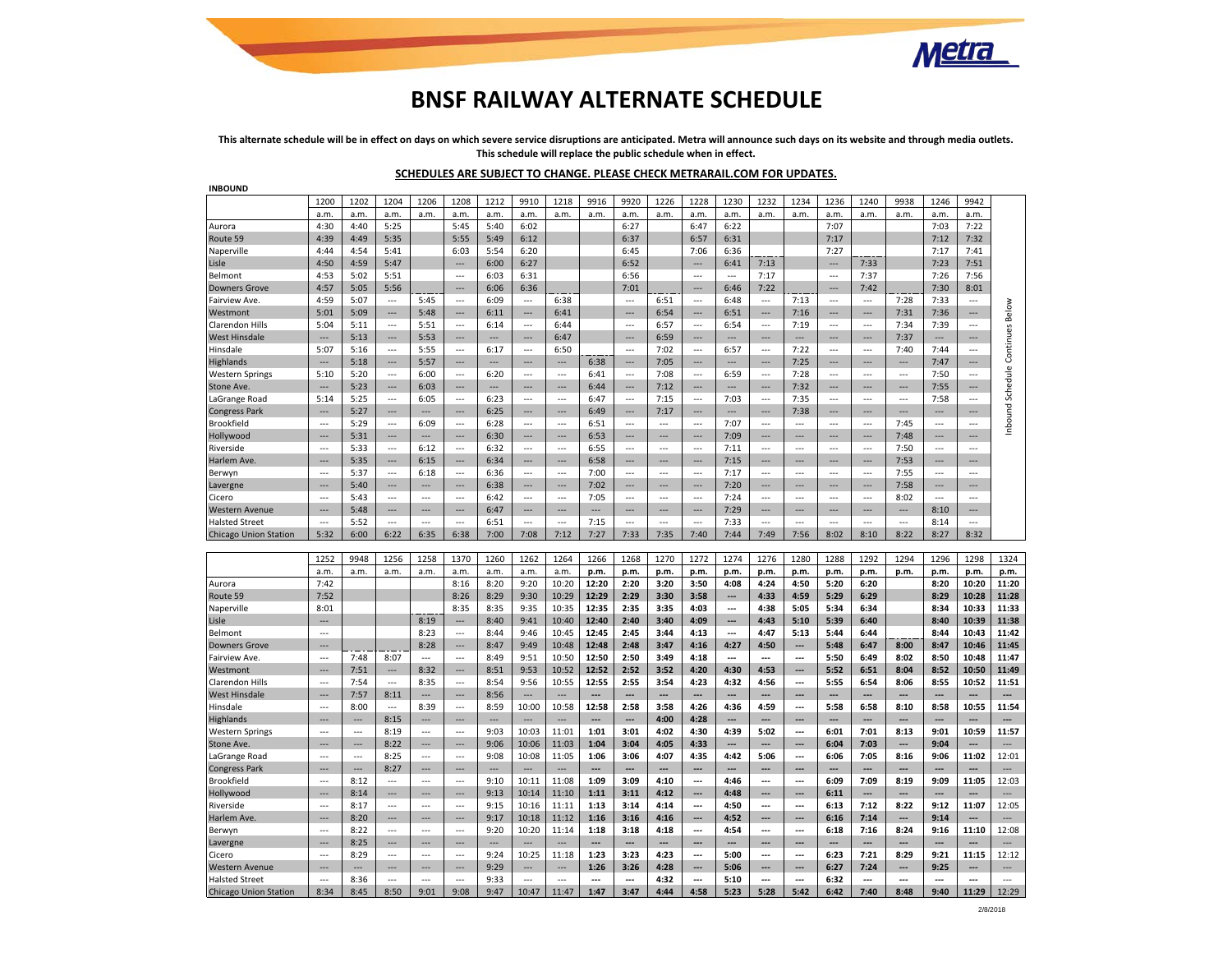

# **BNSF RAILWAY ALTERNATE SCHEDULE**

**This alternate schedule will be in effect on days on which severe service disruptions are anticipated. Metra will announce such days on its website and through media outlets. This schedule will replace the public schedule when in effect.**

### **SCHEDULES ARE SUBJECT TO CHANGE. PLEASE CHECK METRARAIL.COM FOR UPDATES.**

| <b>INBOUND</b>                                        |                |                |                          |                          |                          |                          |                          |                |                          |                          |                |                          |                          |                |                          |                          |                          |                |                |                          |                            |
|-------------------------------------------------------|----------------|----------------|--------------------------|--------------------------|--------------------------|--------------------------|--------------------------|----------------|--------------------------|--------------------------|----------------|--------------------------|--------------------------|----------------|--------------------------|--------------------------|--------------------------|----------------|----------------|--------------------------|----------------------------|
|                                                       | 1200           | 1202           | 1204                     | 1206                     | 1208                     | 1212                     | 9910                     | 1218           | 9916                     | 9920                     | 1226           | 1228                     | 1230                     | 1232           | 1234                     | 1236                     | 1240                     | 9938           | 1246           | 9942                     |                            |
|                                                       | a.m.           | a.m.           | a.m.                     | a.m.                     | a.m.                     | a.m                      | a.m.                     | a.m.           | a.m.                     | a.m.                     | a.m.           | a.m.                     | a.m.                     | a.m.           | a.m.                     | a.m.                     | a.m.                     | a.m.           | a.m.           | a.m.                     |                            |
| Aurora                                                | 4:30           | 4:40           | 5:25                     |                          | 5:45                     | 5:40                     | 6:02                     |                |                          | 6:27                     |                | 6:47                     | 6:22                     |                |                          | 7:07                     |                          |                | 7:03           | 7:22                     |                            |
| Route 59                                              | 4:39           | 4:49           | 5:35                     |                          | 5:55                     | 5:49                     | 6:12                     |                |                          | 6:37                     |                | 6:57                     | 6:31                     |                |                          | 7:17                     |                          |                | 7:12           | 7:32                     |                            |
| Naperville                                            | 4:44           | 4:54           | 5:41                     |                          | 6:03                     | 5:54                     | 6:20                     |                |                          | 6:45                     |                | 7:06                     | 6:36                     |                |                          | 7:27                     |                          |                | 7:17           | 7:41                     |                            |
| Lisle                                                 | 4:50           | 4:59           | 5:47                     |                          | ---                      | 6:00                     | 6:27                     |                |                          | 6:52                     |                | ---                      | 6:41                     | 7:13           |                          | ---                      | 7:33                     |                | 7:23           | 7:51                     |                            |
| Belmont                                               | 4:53           | 5:02           | 5:51                     |                          | $\overline{a}$           | 6:03                     | 6:31                     |                |                          | 6:56                     |                | $\sim$                   | $\sim$                   | 7:17           |                          | $\overline{\phantom{a}}$ | 7:37                     |                | 7:26           | 7:56                     |                            |
| <b>Downers Grove</b>                                  | 4:57           | 5:05           | 5:56                     |                          | ---                      | 6:06                     | 6:36                     |                |                          | 7:01                     |                |                          | 6:46                     | 7:22           |                          | ---                      | 7:42                     |                | 7:30           | 8:01                     |                            |
| <b>Fairview Ave</b>                                   | 4:59           | 5:07           | $\overline{a}$           | 5:45                     | $\overline{a}$           | 6:09                     | $\overline{a}$           | 6:38           |                          | $\overline{\phantom{a}}$ | 6:51           | $\overline{\phantom{a}}$ | 6:48                     | $\overline{a}$ | 7:13                     |                          | $\overline{a}$           | 7:28           | 7:33           | $\overline{\phantom{a}}$ |                            |
| Westmont                                              | 5:01           | 5:09           | $\overline{a}$           | 5:48                     | ---                      | 6:11                     | $\overline{a}$           | 6:41           |                          | $\overline{a}$           | 6:54           | $\overline{\phantom{a}}$ | 6:51                     | ---            | 7:16                     | ---                      | $\overline{a}$           | 7:31           | 7:36           | $\overline{a}$           | Below                      |
| Clarendon Hills                                       | 5:04           | 5:11           | $\overline{\phantom{a}}$ | 5:51                     | $\overline{a}$           | 6:14                     | $\sim$ $\sim$            | 6:44           |                          | $\sim$                   | 6:57           | $\sim$                   | 6:54                     | $\overline{a}$ | 7:19                     | $\cdots$                 | $\overline{a}$           | 7:34           | 7:39           | $\sim$                   |                            |
| <b>West Hinsdale</b>                                  | $\sim$         | 5:13           | ---                      | 5:53                     | ---                      | $---$                    | $---$                    | 6:47           |                          | $\overline{\phantom{a}}$ | 6:59           | ---                      |                          | ---            | $---$                    | ---                      | ---                      | 7:37           | ---            |                          |                            |
| Hinsdale                                              | 5:07           | 5:16           | $\overline{\phantom{a}}$ | 5:55                     | $\overline{a}$           | 6:17                     | $\cdots$                 | 6:50           |                          | $\sim$                   | 7:02           | $\cdots$                 | 6:57                     | $\overline{a}$ | 7:22                     | $\sim$                   | $\overline{a}$           | 7:40           | 7:44           | $\overline{a}$           |                            |
| Highlands                                             |                | 5:18           | ---                      | 5:57                     |                          | ---                      |                          |                | 6:38                     |                          | 7:05           |                          |                          |                | 7:25                     | ---                      | ---                      |                | 7:47           |                          |                            |
| <b>Western Springs</b>                                | 5:10           | 5:20           | $\overline{a}$           | 6:00                     | $\overline{a}$           | 6:20                     | $\overline{a}$           |                | 6:41                     | $\sim$                   | 7:08           | $\overline{\phantom{a}}$ | 6:59                     |                | 7:28                     |                          | $\overline{a}$           |                | 7:50           | $\sim$                   |                            |
| Stone Ave.                                            |                | 5:23           | $---$                    | 6:03                     | ---                      | ---                      | $---$                    | ---            | 6:44                     | $---$                    | 7:12           | $---$                    | ---                      | ---            | 7:32                     | ---                      | ---                      | ---            | 7:55           | ---                      |                            |
| LaGrange Road                                         | 5:14           | 5:25           | $\sim$                   | 6:05                     | $\overline{a}$           | 6:23                     | $\overline{a}$           | ---            | 6:47                     | $\overline{a}$           | 7:15           | $---$                    | 7:03                     | $-$            | 7:35                     | $\overline{a}$           | $--$                     | ---            | 7:58           | $\overline{a}$           |                            |
| <b>Congress Park</b>                                  |                | 5:27           | $---$                    | $---$                    | ---                      | 6:25                     | $---$                    | ---            | 6:49                     | $\overline{a}$           | 7:17           | $---$                    | ---                      | ---            | 7:38                     | ---                      | ---                      | ---            | $- - -$        | $---$                    |                            |
| Brookfield                                            | $---$          | 5:29           | $\overline{a}$           | 6:09                     | $\overline{a}$           | 6:28                     | $\overline{a}$           | $\overline{a}$ | 6:51                     | $\overline{a}$           | $- -$          | $---$                    | 7:07                     | $\sim$         | $- - -$                  | $\overline{a}$           | $\overline{a}$           | 7:45           | $\overline{a}$ | $- - -$                  | Inbound Schedule Continues |
| Hollywood                                             |                | 5:31           | $---$                    | ---                      | ---                      | 6:30                     | $---$                    | ---            | 6:53                     | $\overline{a}$           |                |                          | 7:09                     | ---            | ---                      | ---                      | ---                      | 7:48           | ---            |                          |                            |
| Riverside                                             | $\sim$         | 5:33           | $\overline{\phantom{a}}$ | 6:12                     | ---                      | 6:32                     | $\overline{\phantom{a}}$ | ---            | 6:55                     | $\overline{a}$           | $\overline{a}$ | $\sim$                   | 7:11                     | $\overline{a}$ | $\overline{\phantom{a}}$ | $\overline{a}$           | $\overline{\phantom{a}}$ | 7:50           | $\overline{a}$ | $\sim$                   |                            |
| <b>Harlem Ave</b>                                     |                | 5:35           | ---                      | 6:15                     | ---                      | 6:34                     | $---$                    | ---            | 6:58                     | ---                      | $- -$          |                          | 7:15                     | ---            | $\overline{a}$           | ---                      | $\overline{a}$           | 7:53           | ---            |                          |                            |
| Berwyn                                                | $\sim$         | 5:37           | $\sim$                   | 6:18                     | $\overline{\phantom{a}}$ | 6:36                     | $\overline{a}$           | $\sim$         | 7:00                     | $\sim$                   | $\sim$         | $\sim$                   | 7:17                     | $\overline{a}$ | $---$                    | $\sim$                   | $\overline{a}$           | 7:55           | $\overline{a}$ | $\overline{a}$           |                            |
| Lavergne                                              | $\sim$         | 5:40           | $\overline{a}$           | $\sim$                   | ---                      | 6:38                     | $\overline{a}$           | ---            | 7:02                     | $\sim$                   | $---$          | $---$                    | 7:20                     |                | $\overline{a}$           | ---                      | $\overline{a}$           | 7:58           | $---$          |                          |                            |
| Cicero                                                | $---$          | 5:43           | $\cdots$                 | $---$                    | $---$                    | 6:42                     | $\cdots$                 | $\overline{a}$ | 7:05                     | $---$                    | $---$          | $---$                    | 7:24                     | ---            | $---$                    | $---$                    | $\overline{a}$           | 8:02           | $---$          | $---$                    |                            |
| <b>Western Avenue</b>                                 |                | 5:48           | ---                      | ---                      | ---                      | 6:47                     | ---                      | ---            | $\overline{\phantom{a}}$ | $\overline{a}$           | $---$          |                          | 7:29                     | ---            | ---                      | ---                      | ---                      | ---            | 8:10           |                          |                            |
| <b>Halsted Street</b>                                 | $\sim$         | 5:52           | $\sim$                   | $-$                      | $\sim$                   | 6:51                     | $\overline{a}$           | $\sim$         | 7:15                     | $\sim$                   | $\sim$         | $-$                      | 7:33                     | $\sim$         | $-$                      | $-$                      | $\sim$                   | $\overline{a}$ | 8:14           | $\sim$                   |                            |
| <b>Chicago Union Station</b>                          | 5:32           | 6:00           | 6:22                     | 6:35                     | 6:38                     | 7:00                     | 7:08                     | 7:12           | 7:27                     | 7:33                     | 7:35           | 7:40                     | 7:44                     | 7:49           | 7:56                     | 8:02                     | 8:10                     | 8:22           | 8:27           | 8:32                     |                            |
|                                                       |                |                |                          |                          |                          |                          |                          |                |                          |                          |                |                          |                          |                |                          |                          |                          |                |                |                          |                            |
|                                                       | 1252           | 9948           | 1256                     | 1258                     | 1370                     | 1260                     | 1262                     | 1264           | 1266                     | 1268                     | 1270           | 1272                     | 1274                     | 1276           | 1280                     | 1288                     | 1292                     | 1294           | 1296           | 1298                     | 1324                       |
|                                                       | a.m.           | a.m.           | a.m.                     | a.m.                     | a.m.                     | a.m                      | a.m.                     | a.m.           | p.m.                     | p.m.                     | p.m.           | p.m.                     | p.m.                     | p.m.           | p.m                      | p.m.                     | p.m.                     | p.m.           | p.m.           | p.m.                     | p.m.                       |
| Aurora                                                | 7:42           |                |                          |                          | 8:16                     | 8:20                     | 9:20                     | 10:20          | 12:20                    | 2:20                     | 3:20           | 3:50                     | 4:08                     | 4:24           | 4:50                     | 5:20                     | 6:20                     |                | 8:20           | 10:20                    | 11:20                      |
| Route 59                                              | 7:52           |                |                          |                          | 8:26                     | 8:29                     | 9:30                     | 10:29          | 12:29                    | 2:29                     | 3:30           | 3:58                     | ---                      | 4:33           | 4:59                     | 5:29                     | 6:29                     |                | 8:29           | 10:28                    | 11:28                      |
| Naperville                                            | 8:01           |                |                          |                          | 8:35                     | 8:35                     | 9:35                     | 10:35          | 12:35                    | 2:35                     | 3:35           | 4:03                     | $\overline{\phantom{a}}$ | 4:38           | 5:05                     | 5:34                     | 6:34                     |                | 8:34           | 10:33                    | 11:33                      |
| Lisle                                                 |                |                |                          | 8:19                     |                          | 8:40                     | 9:41                     | 10:40          | 12:40                    | 2:40                     | 3:40           | 4:09                     | ---                      | 4:43           | 5:10                     | 5:39                     | 6:40                     |                | 8:40           | 10:39                    | 11:38                      |
| Belmont                                               |                |                |                          | 8:23                     | $\overline{a}$           | 8:44                     | 9:46                     | 10:45          | 12:45                    | 2:45                     | 3:44           | 4:13                     | $\overline{\phantom{a}}$ | 4:47           | 5:13                     | 5:44                     | 6:44                     |                | 8:44           | 10:43                    | 11:42                      |
| <b>Downers Grove</b>                                  |                |                |                          | 8:28                     | ---                      | 8:47                     | 9:49                     | 10:48          | 12:48                    | 2:48                     | 3:47           | 4:16                     | 4:27                     | 4:50           | $\overline{\phantom{a}}$ | 5:48                     | 6:47                     | 8:00           | 8:47           | 10:46                    | 11:45                      |
| <b>Fairview Ave</b>                                   | $\sim$         | 7:48           | 8:07                     | $\sim$                   | $\sim$                   | 8:49                     | 9:51                     | 10:50          | 12:50                    | 2:50                     | 3:49           | 4:18                     | $\overline{a}$           | ---            | $\overline{a}$           | 5:50                     | 6:49                     | 8:02           | 8:50           | 10:48                    | 11:47                      |
| Westmont                                              | $- - -$        | 7:51           | $---$                    | 8:32                     | ---                      | 8:51                     | 9:53                     | 10:52          | 12:52                    | 2:52                     | 3:52           | 4:20                     | 4:30                     | 4:53           | $\overline{\phantom{a}}$ | 5:52                     | 6:51                     | 8:04           | 8:52           | 10:50                    | 11:49                      |
| Clarendon Hills                                       | $\sim$         | 7:54           | $\sim$                   | 8:35                     | $\sim$                   | 8:54                     | 9:56                     | 10:55          | 12:55                    | 2:55                     | 3:54           | 4:23                     | 4:32                     | 4:56           | $\overline{\phantom{a}}$ | 5:55                     | 6:54                     | 8:06           | 8:55           | 10:52                    | 11:51                      |
| <b>West Hinsdale</b>                                  | ---            | 7:57           | 8:11                     | ---                      | ---                      | 8:56                     | ---                      | ---            | ---                      | $\overline{\phantom{a}}$ | ---            | ---                      | ---                      | ---            | ---                      | ---                      | ---                      | ---            |                |                          | ---                        |
| Hinsdale                                              | $\overline{a}$ | 8:00           | $\overline{a}$           | 8:39                     | $\overline{a}$           | 8:59                     | 10:00                    | 10:58          | 12:58                    | 2:58                     | 3:58           | 4:26                     | 4:36                     | 4:59           | ---                      | 5:58                     | 6:58                     | 8:10           | 8:58           | 10:55                    | 11:54                      |
| Highlands                                             |                | ---            | 8:15                     | $\overline{\phantom{a}}$ | ---                      | $\overline{\phantom{a}}$ | $\overline{a}$           | ---            | $\overline{\phantom{a}}$ | $\overline{\phantom{a}}$ | 4:00           | 4:28                     | ---                      | ---            | ---                      | ---                      | ---                      | ---            |                |                          | ---                        |
| <b>Western Springs</b>                                | $\sim$         | $\overline{a}$ | 8:19                     | $\sim$                   | $\sim$                   | 9:03                     | 10:03                    | 11:01          | 1:01                     | 3:01                     | 4:02           | 4:30                     | 4:39                     | 5:02           | ---                      | 6:01                     | 7:01                     | 8:13           | 9:01           | 10:59                    | 11:57                      |
| Stone Ave.                                            | $---$          | ---            | 8:22                     | $\overline{a}$           | ---                      | 9:06                     | 10:06                    | 11:03          | 1:04                     | 3:04                     | 4:05           | 4:33                     |                          | ---            | $\overline{\phantom{a}}$ | 6:04                     | 7:03                     | ---            | 9:04           |                          | ---                        |
| LaGrange Road                                         | $\sim$         | $\overline{a}$ | 8:25                     | $\sim$                   | $\sim$                   | 9:08                     | 10:08                    | 11:05          | 1:06                     | 3:06                     | 4:07           | 4:35                     | 4:42                     | 5:06           | $\overline{\phantom{a}}$ | 6:06                     | 7:05                     | 8:16           | 9:06           | 11:02                    | 12:01                      |
| <b>Congress Park</b>                                  |                | ---            | 8:27                     | ---                      | ---                      | $\overline{\phantom{a}}$ | $\overline{\phantom{a}}$ | ---            | $\overline{\phantom{a}}$ | $\overline{\phantom{a}}$ |                |                          |                          | ---            | ---                      |                          | ---                      | ---            |                |                          | ---                        |
|                                                       |                |                | $\overline{\phantom{a}}$ | $\sim$                   | $\sim$                   | 9:10                     | 10:11                    | 11:08          | 1:09                     | 3:09                     | 4:10           | ---                      | 4:46                     | ---            | ---                      | 6:09                     | 7:09                     | 8:19           | 9:09           | 11:05                    | 12:03                      |
| Brookfield                                            | $\sim$         | 8:12           |                          |                          |                          |                          |                          |                |                          |                          |                |                          | 4:48                     |                | ---                      |                          |                          |                |                |                          | ---                        |
| Hollywood                                             |                | 8:14           | ---                      | ---                      | ---                      | 9:13                     | 10:14                    | 11:10          | 1:11                     | 3:11                     | 4:12           |                          |                          |                |                          | 6:11                     | ---                      |                |                |                          |                            |
| Riverside                                             |                | 8:17           | $\overline{a}$           | $\sim$                   | $\overline{a}$           | 9:15                     | 10:16                    | 11:11          | 1:13                     | 3:14                     | 4:14           |                          | 4:50                     |                |                          | 6:13                     | 7:12                     | 8:22           | 9:12           | 11:07                    | 12:05                      |
| Harlem Ave                                            |                | 8:20           | $---$                    | $---$                    | ---                      | 9:17                     | 10:18                    | 11:12          | 1:16                     | 3:16                     | 4:16           | $---$                    | 4:52                     | ---            | $---$                    | 6:16                     | 7:14                     | ---            | 9:14           |                          | ---                        |
| Berwyn                                                | $\sim$         | 8:22           | $-$                      | $-$                      | $\overline{a}$           | 9:20                     | 10:20                    | 11:14          | 1:18                     | 3:18                     | 4:18           | $\overline{a}$           | 4:54                     | ---            | $---$                    | 6:18                     | 7:16                     | 8:24           | 9:16           | 11:10                    | 12:08                      |
| Lavergne                                              |                | 8:25           | ---                      | ---                      | ---                      | ---                      | $\overline{\phantom{a}}$ | ---            |                          | $\overline{\phantom{a}}$ | ---            |                          |                          | ---            | ---                      |                          | ---                      | ---            |                |                          | ---                        |
| Cicero                                                | $-$            | 8:29           | $\sim$                   | $\sim$                   | $\sim$                   | 9:24                     | 10:25                    | 11:18          | 1:23                     | 3:23                     | 4:23           | $\overline{a}$           | 5:00                     | ---            | $\overline{\phantom{a}}$ | 6:23                     | 7:21                     | 8:29           | 9:21           | 11:15                    | 12:12                      |
| <b>Western Avenue</b>                                 |                | ---            | ---                      | ---                      | ---                      | 9:29                     | $\overline{a}$           | ---            | 1:26                     | 3:26                     | 4:28           |                          | 5:06                     | ---            | ---                      | 6:27                     | 7:24                     | ---            | 9:25           |                          | ---                        |
| <b>Halsted Street</b><br><b>Chicago Union Station</b> | $\sim$<br>8:34 | 8:36<br>8:45   | ---<br>8:50              | $\overline{a}$<br>9:01   | 9:08                     | 9:33<br>9:47             | ---<br>10:47             | ---<br>11:47   | 1:47                     | $\overline{a}$<br>3:47   | 4:32<br>4:44   | ---<br>4:58              | 5:10<br>5:23             | ---<br>5:28    | ---<br>5:42              | 6:32<br>6:42             | ---<br>7:40              | ---<br>8:48    | 9:40           | ---<br>11:29             | ---<br>12:29               |